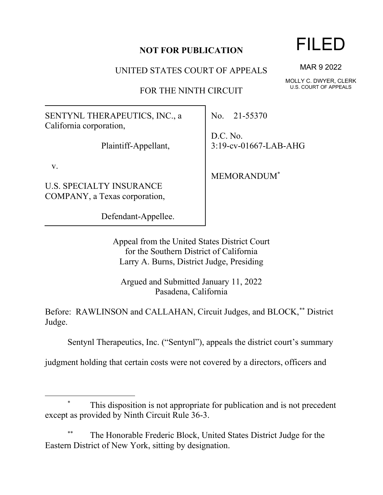## **NOT FOR PUBLICATION**

UNITED STATES COURT OF APPEALS

FOR THE NINTH CIRCUIT

SENTYNL THERAPEUTICS, INC., a California corporation,

Plaintiff-Appellant,

v.

U.S. SPECIALTY INSURANCE COMPANY, a Texas corporation,

Defendant-Appellee.

No. 21-55370

D.C. No. 3:19-cv-01667-LAB-AHG

MEMORANDUM\*

Appeal from the United States District Court for the Southern District of California Larry A. Burns, District Judge, Presiding

Argued and Submitted January 11, 2022 Pasadena, California

Before: RAWLINSON and CALLAHAN, Circuit Judges, and BLOCK,\*\* District Judge.

Sentynl Therapeutics, Inc. ("Sentynl"), appeals the district court's summary

judgment holding that certain costs were not covered by a directors, officers and

## This disposition is not appropriate for publication and is not precedent except as provided by Ninth Circuit Rule 36-3.

The Honorable Frederic Block, United States District Judge for the Eastern District of New York, sitting by designation.

## FILED

MAR 9 2022

MOLLY C. DWYER, CLERK U.S. COURT OF APPEALS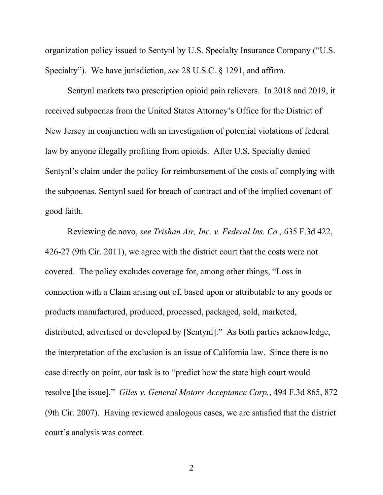organization policy issued to Sentynl by U.S. Specialty Insurance Company ("U.S. Specialty"). We have jurisdiction, *see* 28 U.S.C. § 1291, and affirm.

Sentynl markets two prescription opioid pain relievers. In 2018 and 2019, it received subpoenas from the United States Attorney's Office for the District of New Jersey in conjunction with an investigation of potential violations of federal law by anyone illegally profiting from opioids. After U.S. Specialty denied Sentynl's claim under the policy for reimbursement of the costs of complying with the subpoenas, Sentynl sued for breach of contract and of the implied covenant of good faith.

Reviewing de novo, *see Trishan Air, Inc. v. Federal Ins. Co.,* 635 F.3d 422, 426-27 (9th Cir. 2011), we agree with the district court that the costs were not covered. The policy excludes coverage for, among other things, "Loss in connection with a Claim arising out of, based upon or attributable to any goods or products manufactured, produced, processed, packaged, sold, marketed, distributed, advertised or developed by [Sentynl]." As both parties acknowledge, the interpretation of the exclusion is an issue of California law. Since there is no case directly on point, our task is to "predict how the state high court would resolve [the issue]." *Giles v. General Motors Acceptance Corp.*, 494 F.3d 865, 872 (9th Cir. 2007). Having reviewed analogous cases, we are satisfied that the district court's analysis was correct.

2 a set of  $\sim$  2 a set of  $\sim$  2 a set of  $\sim$  2 a set of  $\sim$  3 a set of  $\sim$  3 a set of  $\sim$  3 a set of  $\sim$  3 a set of  $\sim$  3 a set of  $\sim$  3 a set of  $\sim$  3 a set of  $\sim$  3 a set of  $\sim$  3 a set of  $\sim$  3 a set of  $\sim$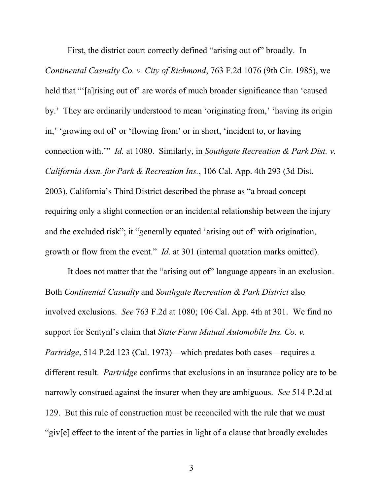First, the district court correctly defined "arising out of" broadly. In *Continental Casualty Co. v. City of Richmond*, 763 F.2d 1076 (9th Cir. 1985), we held that "'[a]rising out of' are words of much broader significance than 'caused by.' They are ordinarily understood to mean 'originating from,' 'having its origin in,' 'growing out of' or 'flowing from' or in short, 'incident to, or having connection with.'" *Id.* at 1080. Similarly, in *Southgate Recreation & Park Dist. v. California Assn. for Park & Recreation Ins.*, 106 Cal. App. 4th 293 (3d Dist. 2003), California's Third District described the phrase as "a broad concept requiring only a slight connection or an incidental relationship between the injury and the excluded risk"; it "generally equated 'arising out of' with origination, growth or flow from the event." *Id.* at 301 (internal quotation marks omitted).

It does not matter that the "arising out of" language appears in an exclusion. Both *Continental Casualty* and *Southgate Recreation & Park District* also involved exclusions. *See* 763 F.2d at 1080; 106 Cal. App. 4th at 301. We find no support for Sentynl's claim that *State Farm Mutual Automobile Ins. Co. v. Partridge*, 514 P.2d 123 (Cal. 1973)—which predates both cases—requires a different result. *Partridge* confirms that exclusions in an insurance policy are to be narrowly construed against the insurer when they are ambiguous. *See* 514 P.2d at 129. But this rule of construction must be reconciled with the rule that we must "giv[e] effect to the intent of the parties in light of a clause that broadly excludes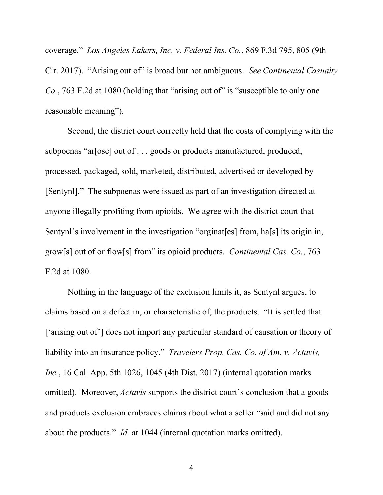coverage." *Los Angeles Lakers, Inc. v. Federal Ins. Co.*, 869 F.3d 795, 805 (9th Cir. 2017). "Arising out of" is broad but not ambiguous. *See Continental Casualty Co.*, 763 F.2d at 1080 (holding that "arising out of" is "susceptible to only one reasonable meaning").

Second, the district court correctly held that the costs of complying with the subpoenas "ar[ose] out of . . . goods or products manufactured, produced, processed, packaged, sold, marketed, distributed, advertised or developed by [Sentynl]." The subpoenas were issued as part of an investigation directed at anyone illegally profiting from opioids. We agree with the district court that Sentynl's involvement in the investigation "orginat[es] from, ha[s] its origin in, grow[s] out of or flow[s] from" its opioid products. *Continental Cas. Co.*, 763 F.2d at 1080.

Nothing in the language of the exclusion limits it, as Sentynl argues, to claims based on a defect in, or characteristic of, the products. "It is settled that ['arising out of'] does not import any particular standard of causation or theory of liability into an insurance policy." *Travelers Prop. Cas. Co. of Am. v. Actavis, Inc.*, 16 Cal. App. 5th 1026, 1045 (4th Dist. 2017) (internal quotation marks omitted). Moreover, *Actavis* supports the district court's conclusion that a goods and products exclusion embraces claims about what a seller "said and did not say about the products." *Id.* at 1044 (internal quotation marks omitted).